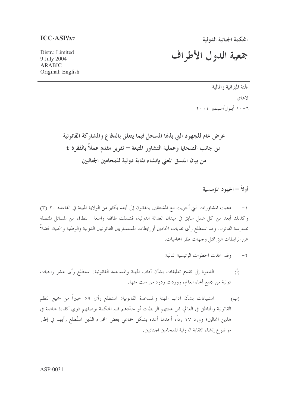Distr.: Limited 9 July 2004 **ARABIC** Original: English

## جمعية الدول الأطراف

لجنة الميزانية والمالية لاهاي ١٠-١١ أيلول/سبتمبر ٢٠٠٤

عرض عام للجهود التي بذلها المسجل فيما يتعلق بالدفاع والمشاركة القانونية من جانب الضحايا وعملية التشاور المتبعة – تقرير مقدم عملاً بالفقرة ٤ من بيان المنسق المعنى بإنشاء نقابة دولية للمحامين الجنائيين

أولاً – الجهود المؤسسية

١– ذهبت المشاورات التي أحريت مع المشتغلين بالقانون إلى أبعد بكثير من الولاية المبينة في القاعدة ٢٠ (٣) وكذلك أبعد من كل عمل سابق في ميدان العدالة الدولية، فشملت طائفة واسعة النطاق من المسائل المتصلة بممارسة القانون. وقد استطلع رأى نقابات المحامين أورابطات المستشاريين القانونيين الدولية والوطنية والمحلية، فضلاً عن الرابطات التي تمثل وجهات نظر المحاميات.

- وقد اتخذت الخطوات الرئيسية التالية:  $-\tau$
- الدعوة إلى تقديم تعليقات بشأن آداب المهنة والمساعدة القانونية: استطلع رأى عشر رابطات  $\overline{(\overline{)}\,}$ دولية من جميع أنحاء العالم، ووردت ردود من ست منها.
- استبيانات بشأن آداب المهنة والمساعدة القانونية: استطلع رأى ٥٩ خبيراً من جميع النظم  $(\hookrightarrow)$ القانونية والمناطق في العالم، ممن عينتهم الرابطات أو حدَّدهم قلم المحكمة بوصفهم ذوي كفاءة خاصة في هذين المحالين؛ وورد ١٧ رداً، أحدها أعده بشكل جماعي بعض الخبراء الذين استُطلع رأيهم في إطار موضوع إنشاء النقابة الدولية للمحامين الجنائيين.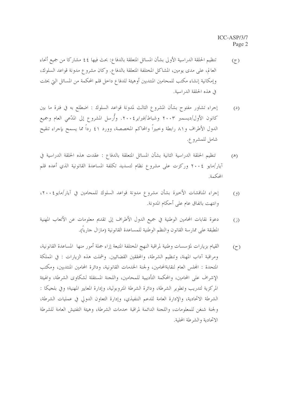- تنظيم الحلقة الدراسية الأولى بشأن المسائل المتعلقة بالدفاع: بحث فيها ٤٤ مشاركا من جميع أنحاء  $(7)$ العالم، على مدى يومين، المشاكل المختلفة المتعلقة بالدفاع. وكان مشروع مدونة قواعد السلوك، وإمكانية إنشاء مكتب للمحامين المنتدبين أوهيئة للدفاع داخل قلم المحكمة من المسائل التي بحثت في هذه الحلقة الدراسية.
- إجراء تشاور مفتوح بشأن المشروع الثالث لمدونة قواعد السلوك : اضطلع به في فترة ما بين  $(2)$ كانون الأول/ديسمبر ٢٠٠٣ وشباط/فبراير٢٠٠٤. وأُرسل المشروع إلى المدّعى العام وجميع الدول الأطراف و٨١ رابطة وخبيراً والمحاكم المخصصة، وورد ٤١ رداً مما يسمح بإجراء تنقيح شامل للمشروع.
- تنظيم الحلقة الدراسية الثانية بشأن المسائل المتعلقة بالدفاع : عقدت هذه الحلقة الدراسية في  $(\mathbb{A})$ آيار/مايو ٢٠٠٤ وركزت على مشروع نظام لتسديد تكلفة المساعدة القانونية الذي أعده قلم المحكمة.
- إجراء المناقشات الأخيرة بشأن مشروع مدونة قواعد السلوك للمحامين في آيار/مايو ٢٠٠٤،  $(9)$ وانتهت باتفاق عام على أحكام المدونة.
- دعوة نقابات المحامين الوطنية في جميع الدول الأطراف إلى تقديم معلومات عن الأتعاب المهنية  $(i)$ المطبقة على ممارسة القانون والنظم الوطنية للمساعدة القانونية (مازال حارياً).
- القيام بزيارات لمؤسسات وطنية لمراقبة النهج المختلفة المتبعة إزاء جملة أمور منها المساعدة القانونية،  $(7)$ ومراقبة آداب المهنة، وتنظيم الشرطة، والمحققين القضائيين. وشملت هذه الزيارات : في المملكة المتحدة : المجلس العام لنقابةالمحامين، ولجنة الحدمات القانونية، ودائرة المحامين المنتدبين، ومكتب الإشراف على المحامين، والمحكمة التأديبية للمحامين، واللجنة المستقلة لشكاوي الشرطة، والهيئة المركزية لتدريب وتطوير الشرطة، ودائرة الشرطة المتروبولية، وإدارة المعايير المهنية؛ وفي بلجيكا : الشرطة الاتحادية، والإدارة العامة للدعم الننفيذي، وإدارة التعاون الدولي في عمليات الشرطة، ولجنة شنغن للمعلومات، واللجنة الدائمة لمراقبة خدمات الشرطة، وهيئة التفتيش العامة للشرطة الاتحادية والشرطة المحلية.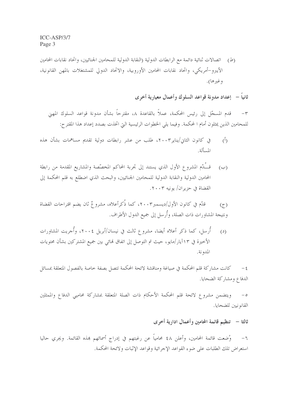(ط) أتصالات ثنائية دائمة مع الرابطات الدولية (النقابة الدولية للمحامين الجنائيين، واتحاد نقابات المحامين الأيبرو–أمريكي، واتحاد نقابات المحامين الأوروبية، والاتحاد الدولي للمشتغلات بالمهن القانونية، وغيرها).

ثانياً – [عداد مدونة قواعد السلوك وأعمال معيارية أخرى

قدم المسجّل إلى رئيس المحكمة، عملاً بالقاعدة ٨، مقترحاً بشأن مدونة قواعد السلوك المهين  $-\tau$ للمحامين الذين يمثلون أمام ا لمحكمة. وفيما يلي الخطوات الرئيسية التي اتخذت بصدد إعداد هذا المقترح:

- في كانون الثاني/يناير ٢٠٠٣، طلب من عشر رابطات دولية تقديم مساهمات بشأن هذه  $\langle \hat{L} \rangle$ المسألة.
- (ب) قــُـدّم المشروع الأول الذي يستند إلى تجربة المحاكم المخصّصة والمشاريع المقدمة من رابطة المحامين الدولية والنقابة الدولية للمحامين الجنائيين، والبحث الذي اضطلع به قلم المحكمة إلى القضاة في حزير ان/ يونيه ٢٠٠٣.

قلَّم في كانون الأول/ديسمبر٢٠٠٣، كما ذُكر أعلاه، مشرو عٌ ثان يضم اقتراحات القضاة  $(7)$ ونتيجة المشاورات ذات الصلة، وأُرسل إلى جميع الدول الأطراف.

أُرسل، كما ذكر أعلاه أيضا، مشروع ثالث في نيسان/أبريل ٢٠٠٤، وأُجريت المشاورات  $(2)$ الأخيرة في ١٣آيار/مايو، حيث تم التوصل إلى اتفاق نمائي بين جميع المشتركين بشأن محتويات المدونة.

كانت مشاركة قلم المحكمة في صياغة ومناقشة لائحة المحكمة تتصل بصفة خاصة بالفصول المتعلقة بمسائل  $-\frac{2}{3}$ الدفاع ومشاركة الضحايا.

ويتضمن مشروع لائحة قلم المحكمة الأحكام ذات الصلة المتعلقة بمشاركة محاميي الدفاع والممثلين  $-\circ$ القانو نيين للضحايا.

ثالثا – تنظيم قائمة المحامين وأعمال ادارية أخرى

٦– وُضعت قائمة المحامين، وأعلن ٤٨ محامياً عن رغبتهم في إدراج أسمائهم هذه القائمة. ويجري حاليا استعراض تلك الطلبات على ضوء القواعد الإجرائية وقواعد الإثبات ولائحة المحكمة.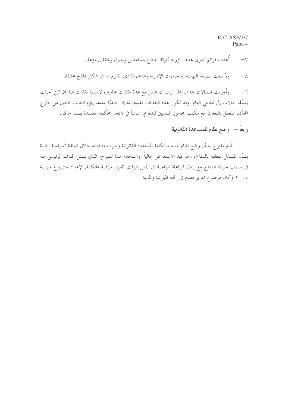ICC-ASP/3/7 Page 4

أُعدت قوائم أحرى بمدف تزويد أفرقة الدفاع بمساعدين وحبراء ومحققين مؤهلين.  $-\vee$ ووُضعت الصيغة النهائية للإجراءات الإدارية والدعم المادي اللازم لها في شكل نماذج مختلفة.  $-\lambda$ 

وأجريت اتصالات بمدف عقد ترتيبات عمل مع عدة نقابات محامين، لاسيما نقابات البلدان التي أحيلت  $-9$ بشألها حالات إلى المدعى العام. وقد تكون هذه النقابات مفيدة للغاية، خاصَّة عندما يلزم انتداب محامين من خارج المحكمة للعمل بالتعاون مع مكتب المحامين المنتدبين للدفاع، المنشأ في لائحة المحكمة المعتمدة بصفة مؤقتة.

رابعاً – وضع نظام للمساعدة القانونية

قُدم مقترح بشأن وضع نظام لتسديد تكلفة المساعدة القانونية وحرت مناقشته خلال الحلقة الدراسية الثانية بشأن المسائل المتعلقة بالدفاع، وهو قيد الاستعراض حالياً. واستخدم هذا المقترح، الذي يتمثل الهدف الرئيسي منه في ضمان حودة الدفاع مع إيلاء المراعاة الواحبة في نفس الوقت لقيود ميزانية المحكمة، لإعداد مشروع ميزانية ٢٠٠٥ وكان موضوع تقرير مقدم إلى لجنة الميزانية والمالية.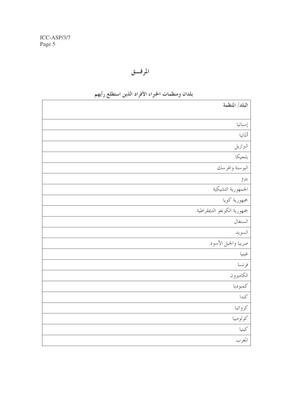## المرفق

| $\cdots$ |  |                             |
|----------|--|-----------------------------|
|          |  | البلد/ المنظمة              |
|          |  |                             |
|          |  | إسبانيا                     |
|          |  | ألمانيا                     |
|          |  | البرازيل                    |
|          |  | بلجيكا                      |
|          |  | البوسنة والهرسك             |
|          |  | بيرو                        |
|          |  | الجمهورية التشيكية          |
|          |  | جمهورية كويا                |
|          |  | جمهورية الكونغو الديمقراطية |
|          |  | السنغال                     |
|          |  | السويد                      |
|          |  | صربيا والجبل الأسود         |
|          |  | غينيا                       |
|          |  | فرنسا                       |
|          |  | الكاميرون                   |
|          |  | كمبوديا                     |
|          |  | كندا                        |
|          |  | كرواتيا                     |
|          |  | كولومبيا                    |
|          |  | كينيا                       |
|          |  | المغرب                      |
|          |  |                             |

## بلدان ومنظمات الخبراء الأفراد الذين استطلع رأيهم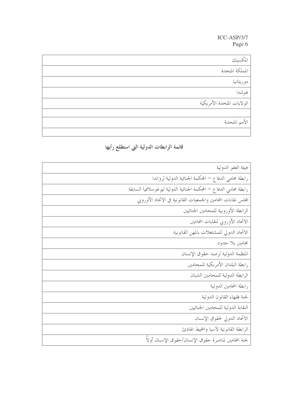$\text{ICC-ASP/3/7}$ Page 6

| المكسيك                    |
|----------------------------|
| المملكة المتحدة            |
| موريتانيا                  |
| هولندا                     |
| الولايات المتحدة الأمريكية |
|                            |
| الأمم المتحدة              |
|                            |

قائمة الرابطات الدولية التي استطلع رأيها

| هيئة العفو الدولية                                                |
|-------------------------------------------------------------------|
| رابطة محامى الدفاع — المحكمة الجنائية الدولية لرواندا             |
| رابطة محامى الدفاع — المحكمة الجنائية الدولية ليوغوسلافيا السابقة |
| مجلس نقابات المحامين والجمعيات القانونية في الاتحاد الأوروبي      |
| الرابطة الأوروبية للمحامين الجنائيين                              |
| الاتحاد الأوروبي لنقابات المحامين                                 |
| الاتحاد الدولي للمشتغلات بالمهن القانونية                         |
| محامین بلا حدود                                                   |
| المنظمة الدولية لرصد حقوق الإنسان                                 |
| رابطة البلدان الأمريكية للمحامين                                  |
| الرابطة الدولية للمحامين الشبان                                   |
| رابطة المحامين الدولية                                            |
| لجنة فقهاء القانون الدولية                                        |
| النقابة الدولية للمحامين الجنائيين                                |
| الاتحاد الدولي لحقوق الإنسان                                      |
| الرابطة القانونية لأسيا والمحيط الهادئ                            |
| لجنة المحامين لمناصرة حقوق الإنسان/حقوق الإنسان أولاً             |